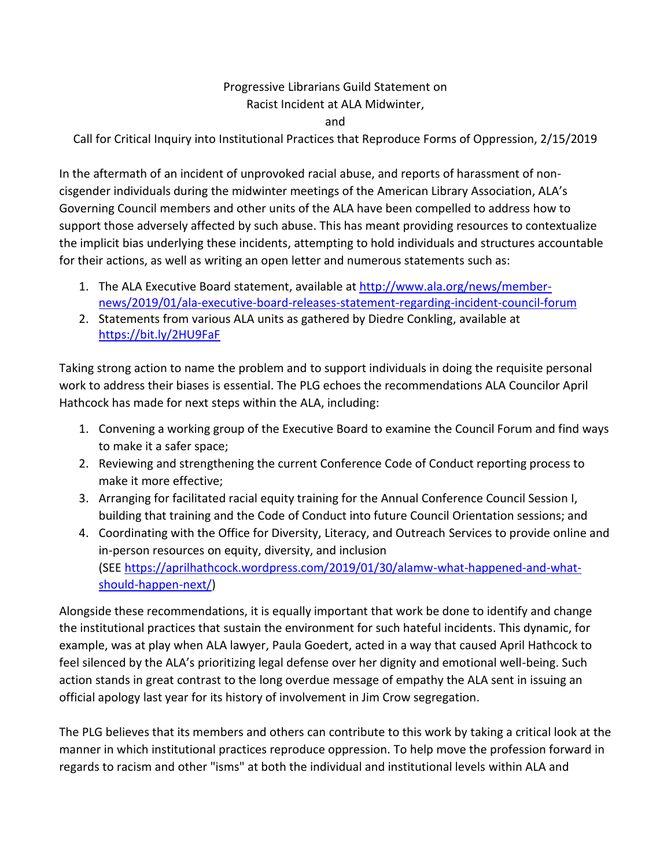## Progressive Librarians Guild Statement on Racist Incident at ALA Midwinter,

and

Call for Critical Inquiry into Institutional Practices that Reproduce Forms of Oppression, 2/15/2019

In the aftermath of an incident of unprovoked racial abuse, and reports of harassment of noncisgender individuals during the midwinter meetings of the American Library Association, ALA's Governing Council members and other units of the ALA have been compelled to address how to support those adversely affected by such abuse. This has meant providing resources to contextualize the implicit bias underlying these incidents, attempting to hold individuals and structures accountable for their actions, as well as writing an open letter and numerous statements such as:

- 1. The ALA Executive Board statement, available at [http://www.ala.org/news/member](http://www.ala.org/news/member-news/2019/01/ala-executive-board-releases-statement-regarding-incident-council-forum)[news/2019/01/ala-executive-board-releases-statement-regarding-incident-council-forum](http://www.ala.org/news/member-news/2019/01/ala-executive-board-releases-statement-regarding-incident-council-forum)
- 2. Statements from various ALA units as gathered by Diedre Conkling, available at <https://bit.ly/2HU9FaF>

Taking strong action to name the problem and to support individuals in doing the requisite personal work to address their biases is essential. The PLG echoes the recommendations ALA Councilor April Hathcock has made for next steps within the ALA, including:

- 1. Convening a working group of the Executive Board to examine the Council Forum and find ways to make it a safer space;
- 2. Reviewing and strengthening the current Conference Code of Conduct reporting process to make it more effective;
- 3. Arranging for facilitated racial equity training for the Annual Conference Council Session I, building that training and the Code of Conduct into future Council Orientation sessions; and
- 4. Coordinating with the Office for Diversity, Literacy, and Outreach Services to provide online and in-person resources on equity, diversity, and inclusion (SEE [https://aprilhathcock.wordpress.com/2019/01/30/alamw-what-happened-and-what](https://aprilhathcock.wordpress.com/2019/01/30/alamw-what-happened-and-what-should-happen-next/)[should-happen-next/\)](https://aprilhathcock.wordpress.com/2019/01/30/alamw-what-happened-and-what-should-happen-next/)

Alongside these recommendations, it is equally important that work be done to identify and change the institutional practices that sustain the environment for such hateful incidents. This dynamic, for example, was at play when ALA lawyer, Paula Goedert, acted in a way that caused April Hathcock to feel silenced by the ALA's prioritizing legal defense over her dignity and emotional well-being. Such action stands in great contrast to the long overdue message of empathy the ALA sent in issuing an official apology last year for its history of involvement in Jim Crow segregation.

The PLG believes that its members and others can contribute to this work by taking a critical look at the manner in which institutional practices reproduce oppression. To help move the profession forward in regards to racism and other "isms" at both the individual and institutional levels within ALA and